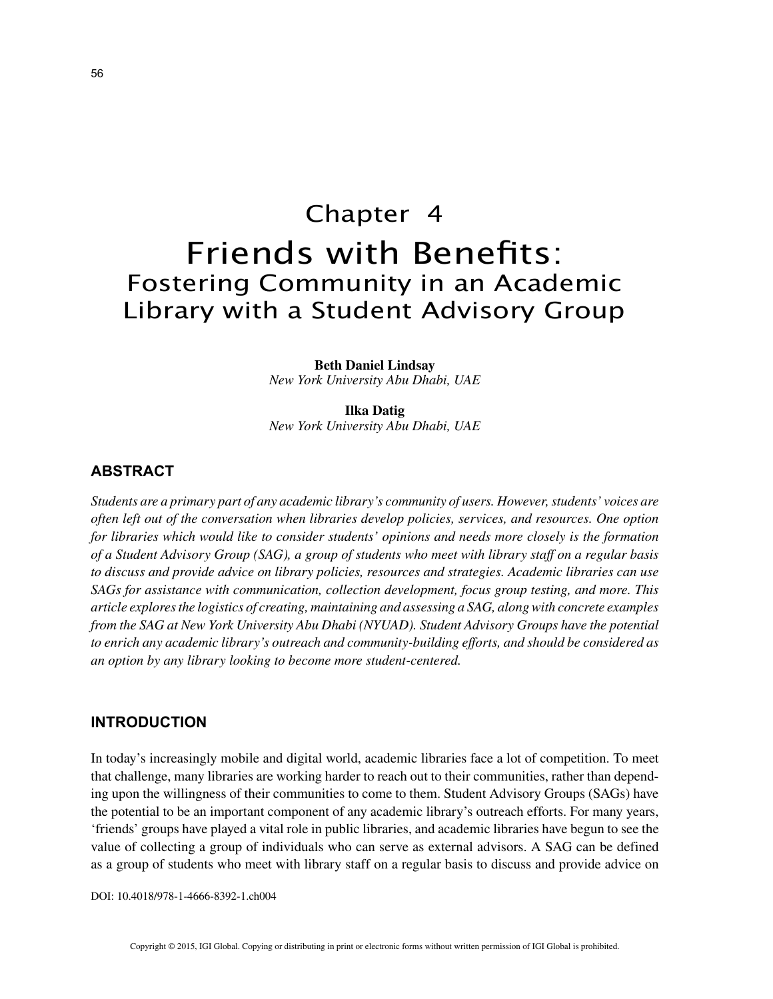# Chapter 4 Friends with Benefits: Fostering Community in an Academic Library with a Student Advisory Group

**Beth Daniel Lindsay** *New York University Abu Dhabi, UAE*

**Ilka Datig** *New York University Abu Dhabi, UAE*

# **ABSTRACT**

*Students are a primary part of any academic library's community of users. However, students' voices are often left out of the conversation when libraries develop policies, services, and resources. One option for libraries which would like to consider students' opinions and needs more closely is the formation of a Student Advisory Group (SAG), a group of students who meet with library staff on a regular basis to discuss and provide advice on library policies, resources and strategies. Academic libraries can use SAGs for assistance with communication, collection development, focus group testing, and more. This article explores the logistics of creating, maintaining and assessing a SAG, along with concrete examples from the SAG at New York University Abu Dhabi (NYUAD). Student Advisory Groups have the potential to enrich any academic library's outreach and community-building efforts, and should be considered as an option by any library looking to become more student-centered.*

#### **INTRODUCTION**

In today's increasingly mobile and digital world, academic libraries face a lot of competition. To meet that challenge, many libraries are working harder to reach out to their communities, rather than depending upon the willingness of their communities to come to them. Student Advisory Groups (SAGs) have the potential to be an important component of any academic library's outreach efforts. For many years, 'friends' groups have played a vital role in public libraries, and academic libraries have begun to see the value of collecting a group of individuals who can serve as external advisors. A SAG can be defined as a group of students who meet with library staff on a regular basis to discuss and provide advice on

DOI: 10.4018/978-1-4666-8392-1.ch004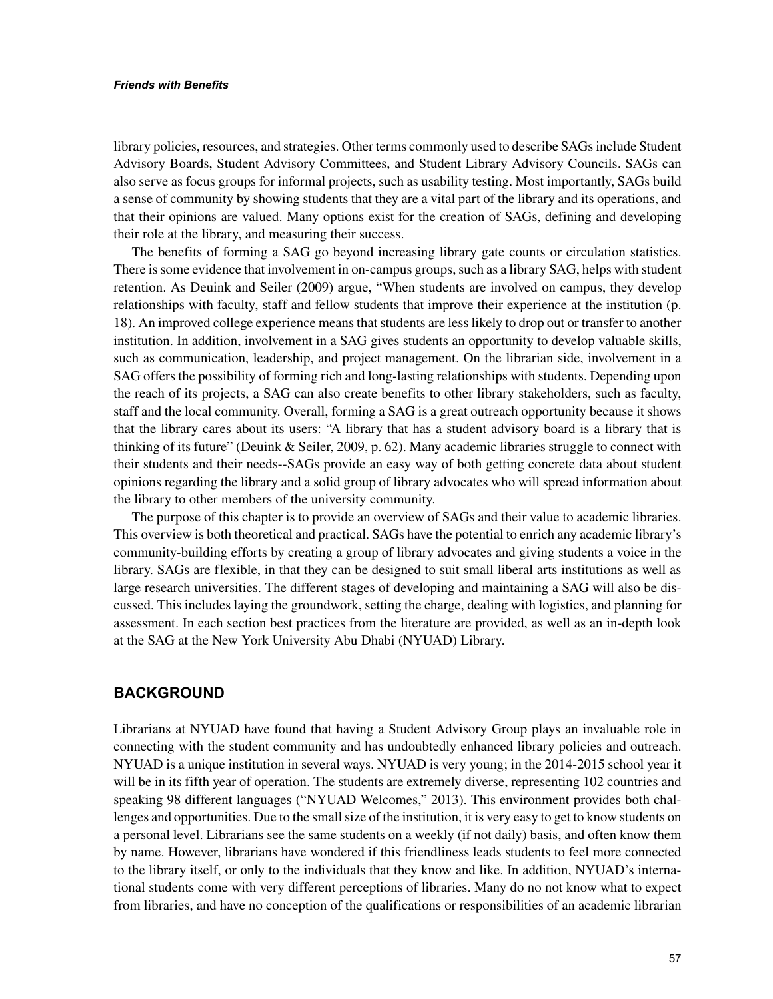#### *Friends with Benefits*

library policies, resources, and strategies. Other terms commonly used to describe SAGs include Student Advisory Boards, Student Advisory Committees, and Student Library Advisory Councils. SAGs can also serve as focus groups for informal projects, such as usability testing. Most importantly, SAGs build a sense of community by showing students that they are a vital part of the library and its operations, and that their opinions are valued. Many options exist for the creation of SAGs, defining and developing their role at the library, and measuring their success.

The benefits of forming a SAG go beyond increasing library gate counts or circulation statistics. There is some evidence that involvement in on-campus groups, such as a library SAG, helps with student retention. As Deuink and Seiler (2009) argue, "When students are involved on campus, they develop relationships with faculty, staff and fellow students that improve their experience at the institution (p. 18). An improved college experience means that students are less likely to drop out or transfer to another institution. In addition, involvement in a SAG gives students an opportunity to develop valuable skills, such as communication, leadership, and project management. On the librarian side, involvement in a SAG offers the possibility of forming rich and long-lasting relationships with students. Depending upon the reach of its projects, a SAG can also create benefits to other library stakeholders, such as faculty, staff and the local community. Overall, forming a SAG is a great outreach opportunity because it shows that the library cares about its users: "A library that has a student advisory board is a library that is thinking of its future" (Deuink & Seiler, 2009, p. 62). Many academic libraries struggle to connect with their students and their needs--SAGs provide an easy way of both getting concrete data about student opinions regarding the library and a solid group of library advocates who will spread information about the library to other members of the university community.

The purpose of this chapter is to provide an overview of SAGs and their value to academic libraries. This overview is both theoretical and practical. SAGs have the potential to enrich any academic library's community-building efforts by creating a group of library advocates and giving students a voice in the library. SAGs are flexible, in that they can be designed to suit small liberal arts institutions as well as large research universities. The different stages of developing and maintaining a SAG will also be discussed. This includes laying the groundwork, setting the charge, dealing with logistics, and planning for assessment. In each section best practices from the literature are provided, as well as an in-depth look at the SAG at the New York University Abu Dhabi (NYUAD) Library.

## **BACKGROUND**

Librarians at NYUAD have found that having a Student Advisory Group plays an invaluable role in connecting with the student community and has undoubtedly enhanced library policies and outreach. NYUAD is a unique institution in several ways. NYUAD is very young; in the 2014-2015 school year it will be in its fifth year of operation. The students are extremely diverse, representing 102 countries and speaking 98 different languages ("NYUAD Welcomes," 2013). This environment provides both challenges and opportunities. Due to the small size of the institution, it is very easy to get to know students on a personal level. Librarians see the same students on a weekly (if not daily) basis, and often know them by name. However, librarians have wondered if this friendliness leads students to feel more connected to the library itself, or only to the individuals that they know and like. In addition, NYUAD's international students come with very different perceptions of libraries. Many do no not know what to expect from libraries, and have no conception of the qualifications or responsibilities of an academic librarian